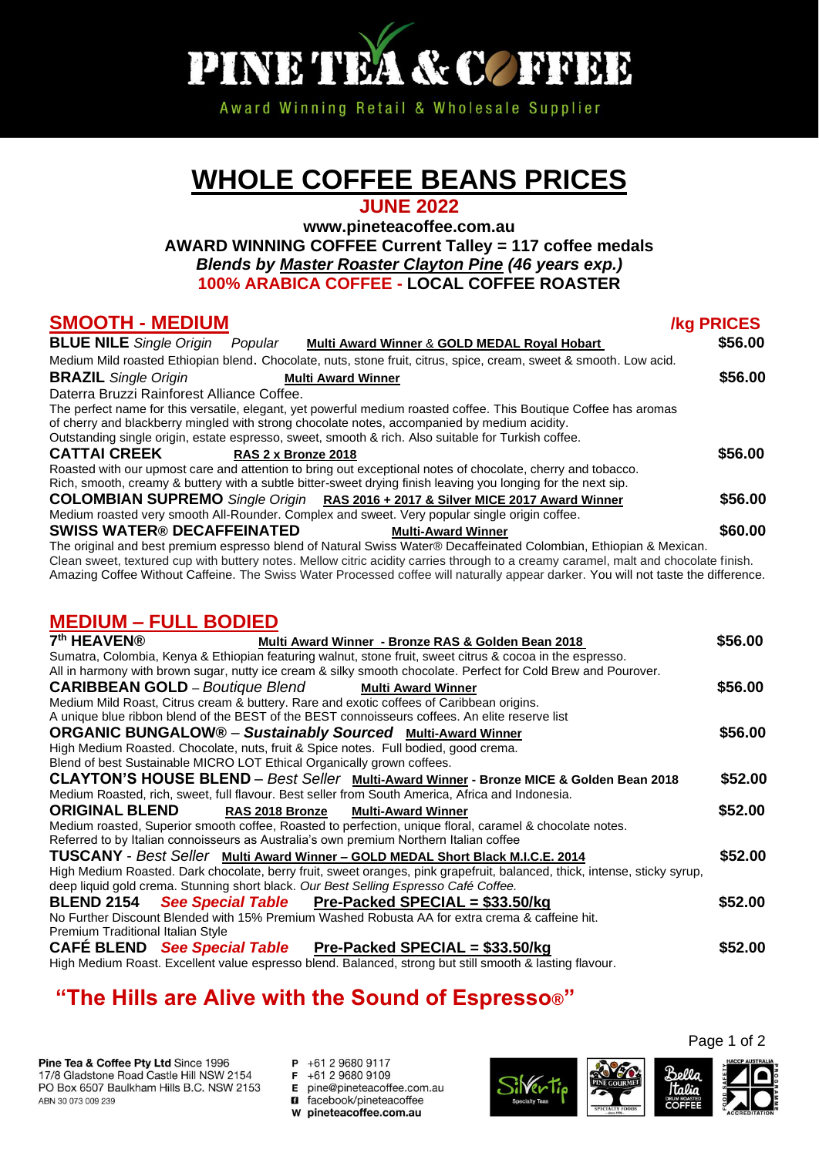

Award Winning Retail & Wholesale Supplier

# **WHOLE COFFEE BEANS PRICES**

#### **JUNE 2022**

**www.pineteacoffee.com.au AWARD WINNING COFFEE Current Talley = 117 coffee medals** *Blends by Master Roaster Clayton Pine (46 years exp.)* **100% ARABICA COFFEE - LOCAL COFFEE ROASTER**

#### **SMOOTH - MEDIUM /kg PRICES**

| <b>BLUE NILE</b> Single Origin<br>Popular<br>Multi Award Winner & GOLD MEDAL Royal Hobart                                                                                                                         | \$56.00 |
|-------------------------------------------------------------------------------------------------------------------------------------------------------------------------------------------------------------------|---------|
| Medium Mild roasted Ethiopian blend. Chocolate, nuts, stone fruit, citrus, spice, cream, sweet & smooth. Low acid.                                                                                                |         |
| <b>BRAZIL</b> Single Origin<br><b>Multi Award Winner</b>                                                                                                                                                          | \$56.00 |
| Daterra Bruzzi Rainforest Alliance Coffee.                                                                                                                                                                        |         |
| The perfect name for this versatile, elegant, yet powerful medium roasted coffee. This Boutique Coffee has aromas<br>of cherry and blackberry mingled with strong chocolate notes, accompanied by medium acidity. |         |
| Outstanding single origin, estate espresso, sweet, smooth & rich. Also suitable for Turkish coffee.                                                                                                               |         |
| <b>CATTAI CREEK</b><br>RAS 2 x Bronze 2018                                                                                                                                                                        | \$56.00 |
| Roasted with our upmost care and attention to bring out exceptional notes of chocolate, cherry and tobacco.                                                                                                       |         |
| Rich, smooth, creamy & buttery with a subtle bitter-sweet drying finish leaving you longing for the next sip.                                                                                                     |         |
| <b>COLOMBIAN SUPREMO</b> Single Origin RAS 2016 + 2017 & Silver MICE 2017 Award Winner                                                                                                                            | \$56.00 |
| Medium roasted very smooth All-Rounder. Complex and sweet. Very popular single origin coffee.                                                                                                                     |         |
| <b>SWISS WATER® DECAFFEINATED</b><br><b>Multi-Award Winner</b>                                                                                                                                                    | \$60.00 |

The original and best premium espresso blend of Natural Swiss Water® Decaffeinated Colombian, Ethiopian & Mexican. Clean sweet, textured cup with buttery notes. Mellow citric acidity carries through to a creamy caramel, malt and chocolate finish. Amazing Coffee Without Caffeine. The Swiss Water Processed coffee will naturally appear darker. You will not taste the difference.

### **MEDIUM – FULL BODIED**

| 7 <sup>th</sup> HEAVEN®<br>Multi Award Winner - Bronze RAS & Golden Bean 2018                                             | \$56.00 |
|---------------------------------------------------------------------------------------------------------------------------|---------|
| Sumatra, Colombia, Kenya & Ethiopian featuring walnut, stone fruit, sweet citrus & cocoa in the espresso.                 |         |
| All in harmony with brown sugar, nutty ice cream & silky smooth chocolate. Perfect for Cold Brew and Pourover.            |         |
| <b>CARIBBEAN GOLD</b> – Boutique Blend<br><b>Multi Award Winner</b>                                                       | \$56.00 |
| Medium Mild Roast, Citrus cream & buttery. Rare and exotic coffees of Caribbean origins.                                  |         |
| A unique blue ribbon blend of the BEST of the BEST connoisseurs coffees. An elite reserve list                            |         |
| <b>ORGANIC BUNGALOW<sup>®</sup> - Sustainably Sourced Multi-Award Winner</b>                                              | \$56.00 |
| High Medium Roasted. Chocolate, nuts, fruit & Spice notes. Full bodied, good crema.                                       |         |
| Blend of best Sustainable MICRO LOT Ethical Organically grown coffees.                                                    |         |
| CLAYTON'S HOUSE BLEND - Best Seller Multi-Award Winner - Bronze MICE & Golden Bean 2018                                   | \$52.00 |
| Medium Roasted, rich, sweet, full flavour. Best seller from South America, Africa and Indonesia.                          |         |
| <b>ORIGINAL BLEND</b><br>RAS 2018 Bronze<br><b>Multi-Award Winner</b>                                                     | \$52.00 |
| Medium roasted, Superior smooth coffee, Roasted to perfection, unique floral, caramel & chocolate notes.                  |         |
| Referred to by Italian connoisseurs as Australia's own premium Northern Italian coffee                                    |         |
| TUSCANY - Best Seller Multi Award Winner - GOLD MEDAL Short Black M.I.C.E. 2014                                           | \$52.00 |
| High Medium Roasted. Dark chocolate, berry fruit, sweet oranges, pink grapefruit, balanced, thick, intense, sticky syrup, |         |
| deep liquid gold crema. Stunning short black. Our Best Selling Espresso Café Coffee.                                      |         |
| See Special Table Pre-Packed SPECIAL = \$33.50/kg<br><b>BLEND 2154</b>                                                    | \$52.00 |
| No Further Discount Blended with 15% Premium Washed Robusta AA for extra crema & caffeine hit.                            |         |
| Premium Traditional Italian Style                                                                                         |         |
| <b>CAFÉ BLEND</b> See Special Table<br>Pre-Packed SPECIAL = \$33.50/kg                                                    | \$52.00 |
|                                                                                                                           |         |

High Medium Roast. Excellent value espresso blend. Balanced, strong but still smooth & lasting flavour.

## **"The Hills are Alive with the Sound of Espresso®"**

Pine Tea & Coffee Pty Ltd Since 1996 17/8 Gladstone Road Castle Hill NSW 2154 PO Box 6507 Baulkham Hills B.C. NSW 2153 ABN 30 073 009 239

P +61 2 9680 9117 F +61 2 9680 9109 E pine@pineteacoffee.com.au **B** facebook/pineteacoffee W pineteacoffee.com.au



Page 1 of 2